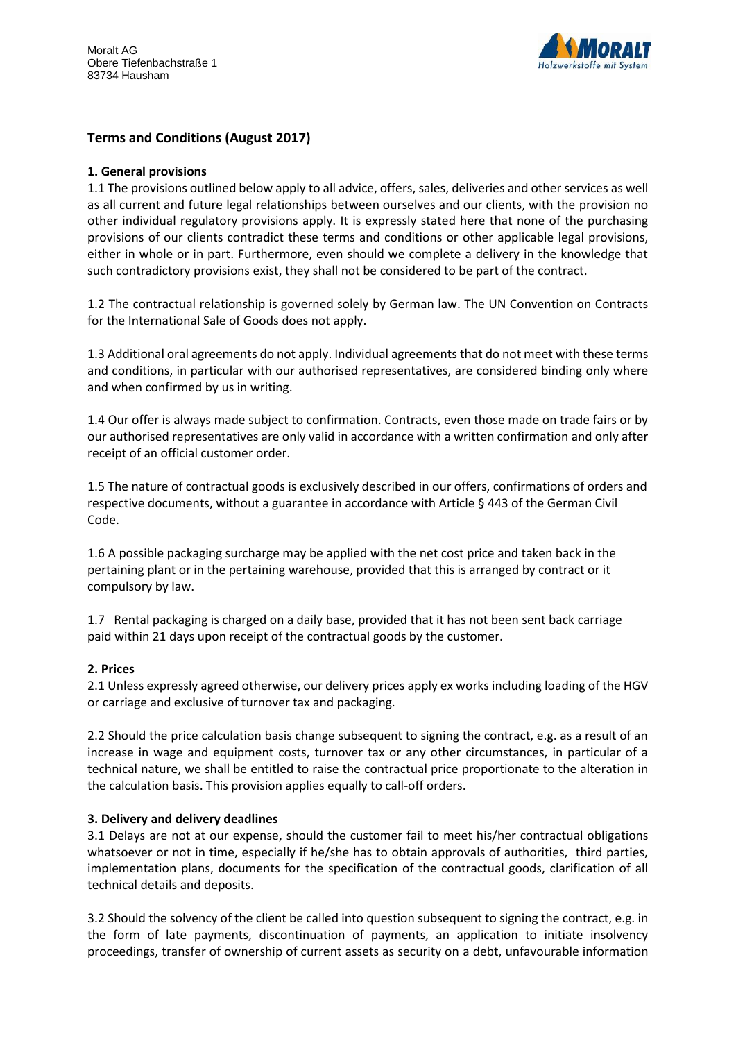

# **Terms and Conditions (August 2017)**

#### **1. General provisions**

1.1 The provisions outlined below apply to all advice, offers, sales, deliveries and other services as well as all current and future legal relationships between ourselves and our clients, with the provision no other individual regulatory provisions apply. It is expressly stated here that none of the purchasing provisions of our clients contradict these terms and conditions or other applicable legal provisions, either in whole or in part. Furthermore, even should we complete a delivery in the knowledge that such contradictory provisions exist, they shall not be considered to be part of the contract.

1.2 The contractual relationship is governed solely by German law. The UN Convention on Contracts for the International Sale of Goods does not apply.

1.3 Additional oral agreements do not apply. Individual agreements that do not meet with these terms and conditions, in particular with our authorised representatives, are considered binding only where and when confirmed by us in writing.

1.4 Our offer is always made subject to confirmation. Contracts, even those made on trade fairs or by our authorised representatives are only valid in accordance with a written confirmation and only after receipt of an official customer order.

1.5 The nature of contractual goods is exclusively described in our offers, confirmations of orders and respective documents, without a guarantee in accordance with Article § 443 of the German Civil Code.

1.6 A possible packaging surcharge may be applied with the net cost price and taken back in the pertaining plant or in the pertaining warehouse, provided that this is arranged by contract or it compulsory by law.

1.7 Rental packaging is charged on a daily base, provided that it has not been sent back carriage paid within 21 days upon receipt of the contractual goods by the customer.

#### **2. Prices**

2.1 Unless expressly agreed otherwise, our delivery prices apply ex works including loading of the HGV or carriage and exclusive of turnover tax and packaging.

2.2 Should the price calculation basis change subsequent to signing the contract, e.g. as a result of an increase in wage and equipment costs, turnover tax or any other circumstances, in particular of a technical nature, we shall be entitled to raise the contractual price proportionate to the alteration in the calculation basis. This provision applies equally to call-off orders.

#### **3. Delivery and delivery deadlines**

3.1 Delays are not at our expense, should the customer fail to meet his/her contractual obligations whatsoever or not in time, especially if he/she has to obtain approvals of authorities, third parties, implementation plans, documents for the specification of the contractual goods, clarification of all technical details and deposits.

3.2 Should the solvency of the client be called into question subsequent to signing the contract, e.g. in the form of late payments, discontinuation of payments, an application to initiate insolvency proceedings, transfer of ownership of current assets as security on a debt, unfavourable information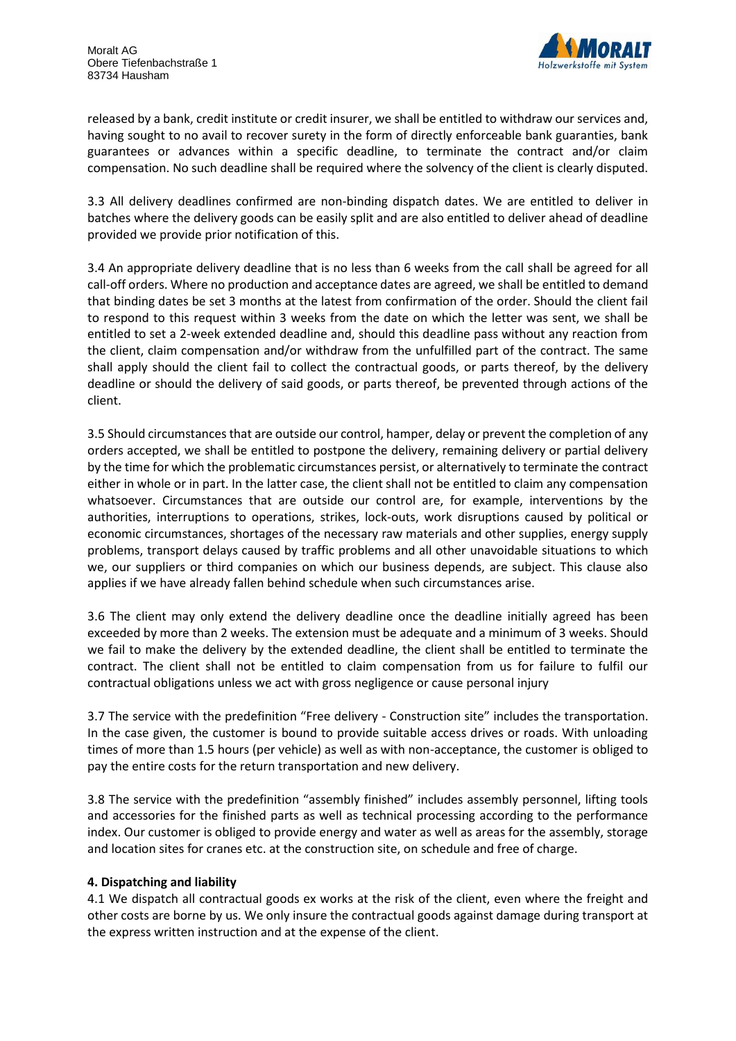

released by a bank, credit institute or credit insurer, we shall be entitled to withdraw our services and, having sought to no avail to recover surety in the form of directly enforceable bank guaranties, bank guarantees or advances within a specific deadline, to terminate the contract and/or claim compensation. No such deadline shall be required where the solvency of the client is clearly disputed.

3.3 All delivery deadlines confirmed are non-binding dispatch dates. We are entitled to deliver in batches where the delivery goods can be easily split and are also entitled to deliver ahead of deadline provided we provide prior notification of this.

3.4 An appropriate delivery deadline that is no less than 6 weeks from the call shall be agreed for all call-off orders. Where no production and acceptance dates are agreed, we shall be entitled to demand that binding dates be set 3 months at the latest from confirmation of the order. Should the client fail to respond to this request within 3 weeks from the date on which the letter was sent, we shall be entitled to set a 2-week extended deadline and, should this deadline pass without any reaction from the client, claim compensation and/or withdraw from the unfulfilled part of the contract. The same shall apply should the client fail to collect the contractual goods, or parts thereof, by the delivery deadline or should the delivery of said goods, or parts thereof, be prevented through actions of the client.

3.5 Should circumstances that are outside our control, hamper, delay or prevent the completion of any orders accepted, we shall be entitled to postpone the delivery, remaining delivery or partial delivery by the time for which the problematic circumstances persist, or alternatively to terminate the contract either in whole or in part. In the latter case, the client shall not be entitled to claim any compensation whatsoever. Circumstances that are outside our control are, for example, interventions by the authorities, interruptions to operations, strikes, lock-outs, work disruptions caused by political or economic circumstances, shortages of the necessary raw materials and other supplies, energy supply problems, transport delays caused by traffic problems and all other unavoidable situations to which we, our suppliers or third companies on which our business depends, are subject. This clause also applies if we have already fallen behind schedule when such circumstances arise.

3.6 The client may only extend the delivery deadline once the deadline initially agreed has been exceeded by more than 2 weeks. The extension must be adequate and a minimum of 3 weeks. Should we fail to make the delivery by the extended deadline, the client shall be entitled to terminate the contract. The client shall not be entitled to claim compensation from us for failure to fulfil our contractual obligations unless we act with gross negligence or cause personal injury

3.7 The service with the predefinition "Free delivery - Construction site" includes the transportation. In the case given, the customer is bound to provide suitable access drives or roads. With unloading times of more than 1.5 hours (per vehicle) as well as with non-acceptance, the customer is obliged to pay the entire costs for the return transportation and new delivery.

3.8 The service with the predefinition "assembly finished" includes assembly personnel, lifting tools and accessories for the finished parts as well as technical processing according to the performance index. Our customer is obliged to provide energy and water as well as areas for the assembly, storage and location sites for cranes etc. at the construction site, on schedule and free of charge.

## **4. Dispatching and liability**

4.1 We dispatch all contractual goods ex works at the risk of the client, even where the freight and other costs are borne by us. We only insure the contractual goods against damage during transport at the express written instruction and at the expense of the client.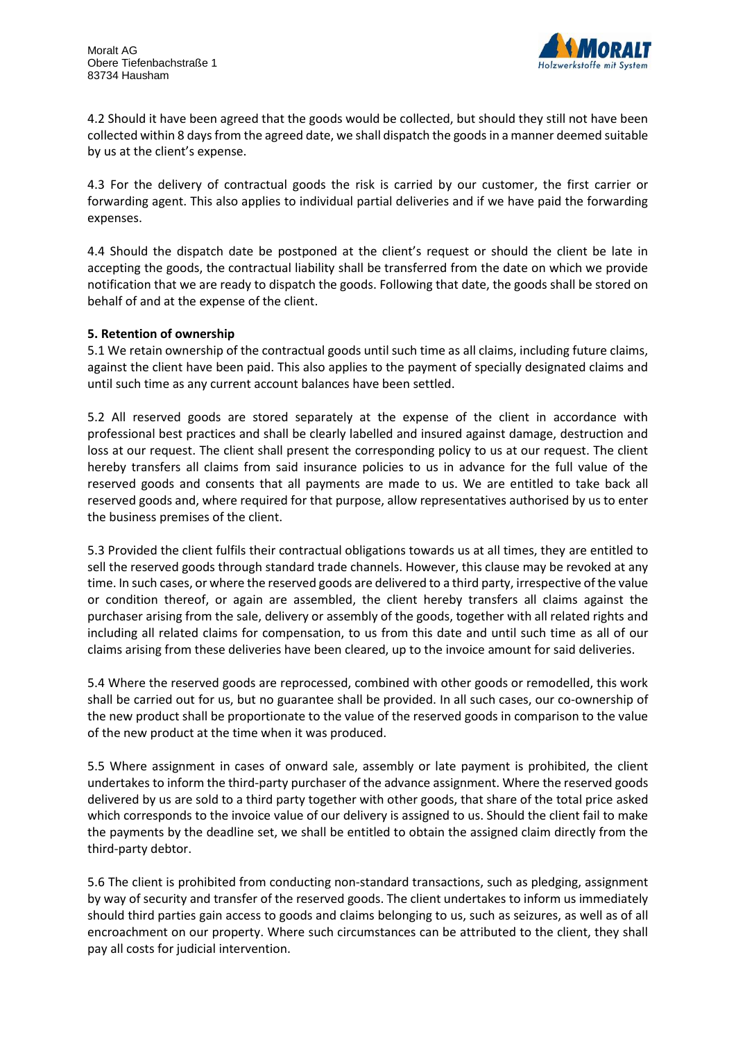

4.2 Should it have been agreed that the goods would be collected, but should they still not have been collected within 8 days from the agreed date, we shall dispatch the goods in a manner deemed suitable by us at the client's expense.

4.3 For the delivery of contractual goods the risk is carried by our customer, the first carrier or forwarding agent. This also applies to individual partial deliveries and if we have paid the forwarding expenses.

4.4 Should the dispatch date be postponed at the client's request or should the client be late in accepting the goods, the contractual liability shall be transferred from the date on which we provide notification that we are ready to dispatch the goods. Following that date, the goods shall be stored on behalf of and at the expense of the client.

## **5. Retention of ownership**

5.1 We retain ownership of the contractual goods until such time as all claims, including future claims, against the client have been paid. This also applies to the payment of specially designated claims and until such time as any current account balances have been settled.

5.2 All reserved goods are stored separately at the expense of the client in accordance with professional best practices and shall be clearly labelled and insured against damage, destruction and loss at our request. The client shall present the corresponding policy to us at our request. The client hereby transfers all claims from said insurance policies to us in advance for the full value of the reserved goods and consents that all payments are made to us. We are entitled to take back all reserved goods and, where required for that purpose, allow representatives authorised by us to enter the business premises of the client.

5.3 Provided the client fulfils their contractual obligations towards us at all times, they are entitled to sell the reserved goods through standard trade channels. However, this clause may be revoked at any time. In such cases, or where the reserved goods are delivered to a third party, irrespective of the value or condition thereof, or again are assembled, the client hereby transfers all claims against the purchaser arising from the sale, delivery or assembly of the goods, together with all related rights and including all related claims for compensation, to us from this date and until such time as all of our claims arising from these deliveries have been cleared, up to the invoice amount for said deliveries.

5.4 Where the reserved goods are reprocessed, combined with other goods or remodelled, this work shall be carried out for us, but no guarantee shall be provided. In all such cases, our co-ownership of the new product shall be proportionate to the value of the reserved goods in comparison to the value of the new product at the time when it was produced.

5.5 Where assignment in cases of onward sale, assembly or late payment is prohibited, the client undertakes to inform the third-party purchaser of the advance assignment. Where the reserved goods delivered by us are sold to a third party together with other goods, that share of the total price asked which corresponds to the invoice value of our delivery is assigned to us. Should the client fail to make the payments by the deadline set, we shall be entitled to obtain the assigned claim directly from the third-party debtor.

5.6 The client is prohibited from conducting non-standard transactions, such as pledging, assignment by way of security and transfer of the reserved goods. The client undertakes to inform us immediately should third parties gain access to goods and claims belonging to us, such as seizures, as well as of all encroachment on our property. Where such circumstances can be attributed to the client, they shall pay all costs for judicial intervention.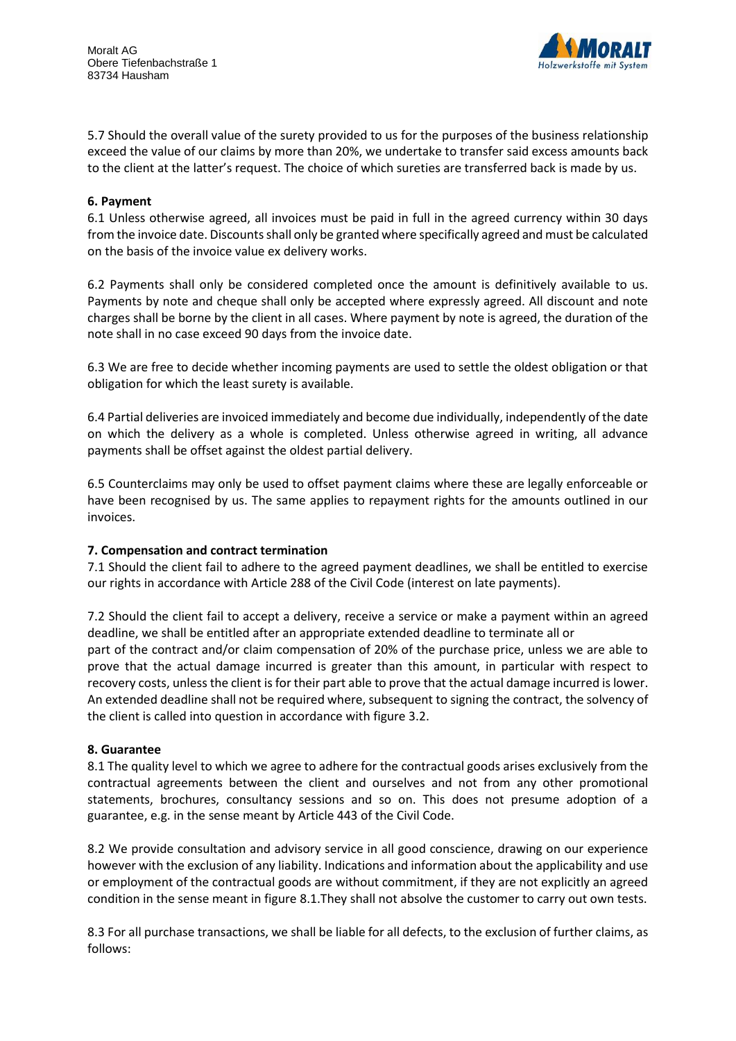

5.7 Should the overall value of the surety provided to us for the purposes of the business relationship exceed the value of our claims by more than 20%, we undertake to transfer said excess amounts back to the client at the latter's request. The choice of which sureties are transferred back is made by us.

### **6. Payment**

6.1 Unless otherwise agreed, all invoices must be paid in full in the agreed currency within 30 days from the invoice date. Discounts shall only be granted where specifically agreed and must be calculated on the basis of the invoice value ex delivery works.

6.2 Payments shall only be considered completed once the amount is definitively available to us. Payments by note and cheque shall only be accepted where expressly agreed. All discount and note charges shall be borne by the client in all cases. Where payment by note is agreed, the duration of the note shall in no case exceed 90 days from the invoice date.

6.3 We are free to decide whether incoming payments are used to settle the oldest obligation or that obligation for which the least surety is available.

6.4 Partial deliveries are invoiced immediately and become due individually, independently of the date on which the delivery as a whole is completed. Unless otherwise agreed in writing, all advance payments shall be offset against the oldest partial delivery.

6.5 Counterclaims may only be used to offset payment claims where these are legally enforceable or have been recognised by us. The same applies to repayment rights for the amounts outlined in our invoices.

#### **7. Compensation and contract termination**

7.1 Should the client fail to adhere to the agreed payment deadlines, we shall be entitled to exercise our rights in accordance with Article 288 of the Civil Code (interest on late payments).

7.2 Should the client fail to accept a delivery, receive a service or make a payment within an agreed deadline, we shall be entitled after an appropriate extended deadline to terminate all or part of the contract and/or claim compensation of 20% of the purchase price, unless we are able to prove that the actual damage incurred is greater than this amount, in particular with respect to recovery costs, unless the client is for their part able to prove that the actual damage incurred is lower. An extended deadline shall not be required where, subsequent to signing the contract, the solvency of the client is called into question in accordance with figure 3.2.

#### **8. Guarantee**

8.1 The quality level to which we agree to adhere for the contractual goods arises exclusively from the contractual agreements between the client and ourselves and not from any other promotional statements, brochures, consultancy sessions and so on. This does not presume adoption of a guarantee, e.g. in the sense meant by Article 443 of the Civil Code.

8.2 We provide consultation and advisory service in all good conscience, drawing on our experience however with the exclusion of any liability. Indications and information about the applicability and use or employment of the contractual goods are without commitment, if they are not explicitly an agreed condition in the sense meant in figure 8.1.They shall not absolve the customer to carry out own tests.

8.3 For all purchase transactions, we shall be liable for all defects, to the exclusion of further claims, as follows: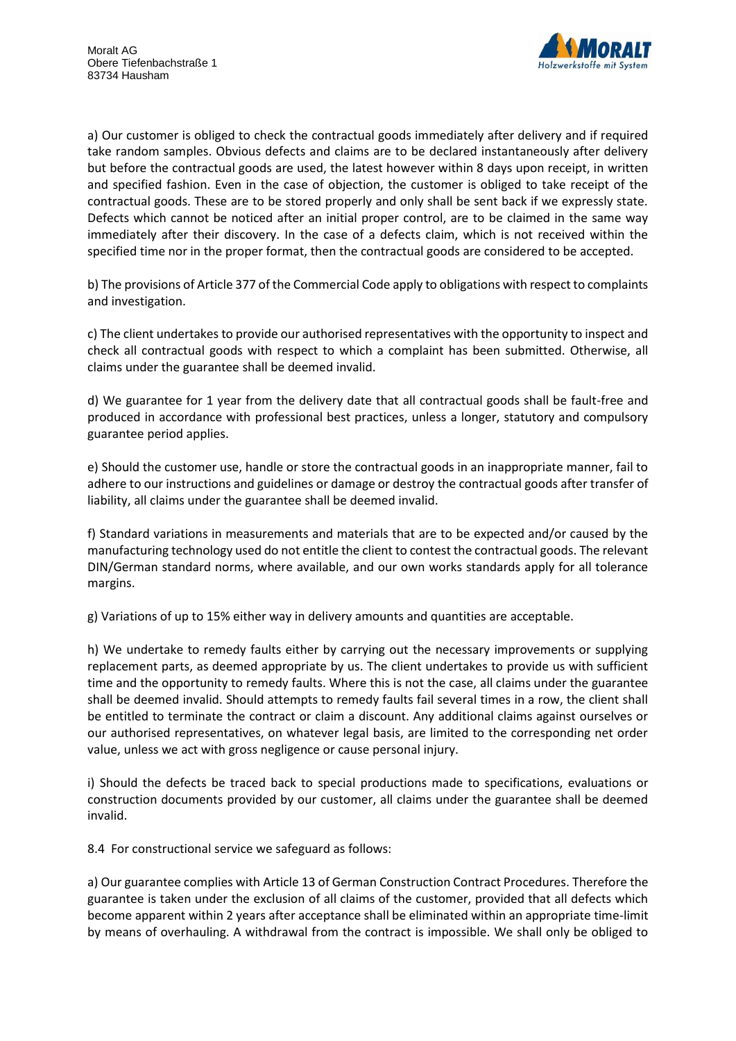

a) Our customer is obliged to check the contractual goods immediately after delivery and if required take random samples. Obvious defects and claims are to be declared instantaneously after delivery but before the contractual goods are used, the latest however within 8 days upon receipt, in written and specified fashion. Even in the case of objection, the customer is obliged to take receipt of the contractual goods. These are to be stored properly and only shall be sent back if we expressly state. Defects which cannot be noticed after an initial proper control, are to be claimed in the same way immediately after their discovery. In the case of a defects claim, which is not received within the specified time nor in the proper format, then the contractual goods are considered to be accepted.

b) The provisions of Article 377 of the Commercial Code apply to obligations with respect to complaints and investigation.

c) The client undertakes to provide our authorised representatives with the opportunity to inspect and check all contractual goods with respect to which a complaint has been submitted. Otherwise, all claims under the guarantee shall be deemed invalid.

d) We guarantee for 1 year from the delivery date that all contractual goods shall be fault-free and produced in accordance with professional best practices, unless a longer, statutory and compulsory guarantee period applies.

e) Should the customer use, handle or store the contractual goods in an inappropriate manner, fail to adhere to our instructions and guidelines or damage or destroy the contractual goods after transfer of liability, all claims under the guarantee shall be deemed invalid.

f) Standard variations in measurements and materials that are to be expected and/or caused by the manufacturing technology used do not entitle the client to contest the contractual goods. The relevant DIN/German standard norms, where available, and our own works standards apply for all tolerance margins.

g) Variations of up to 15% either way in delivery amounts and quantities are acceptable.

h) We undertake to remedy faults either by carrying out the necessary improvements or supplying replacement parts, as deemed appropriate by us. The client undertakes to provide us with sufficient time and the opportunity to remedy faults. Where this is not the case, all claims under the guarantee shall be deemed invalid. Should attempts to remedy faults fail several times in a row, the client shall be entitled to terminate the contract or claim a discount. Any additional claims against ourselves or our authorised representatives, on whatever legal basis, are limited to the corresponding net order value, unless we act with gross negligence or cause personal injury.

i) Should the defects be traced back to special productions made to specifications, evaluations or construction documents provided by our customer, all claims under the guarantee shall be deemed invalid.

8.4 For constructional service we safeguard as follows:

a) Our guarantee complies with Article 13 of German Construction Contract Procedures. Therefore the guarantee is taken under the exclusion of all claims of the customer, provided that all defects which become apparent within 2 years after acceptance shall be eliminated within an appropriate time-limit by means of overhauling. A withdrawal from the contract is impossible. We shall only be obliged to